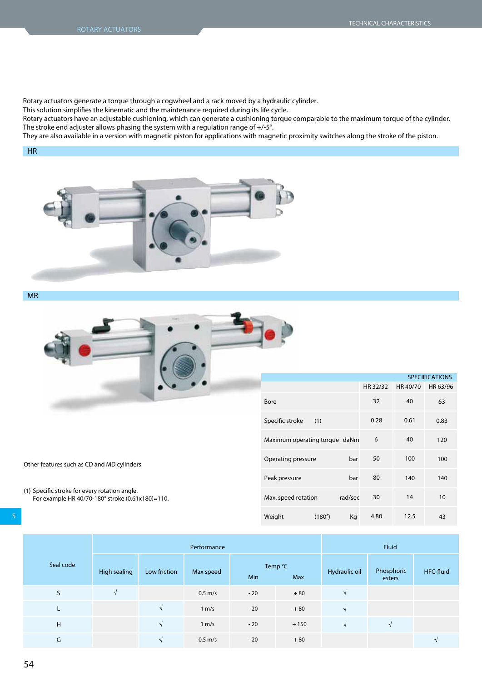Rotary actuators generate a torque through a cogwheel and a rack moved by a hydraulic cylinder.

This solution simplifies the kinematic and the maintenance required during its life cycle.

Rotary actuators have an adjustable cushioning, which can generate a cushioning torque comparable to the maximum torque of the cylinder. The stroke end adjuster allows phasing the system with a regulation range of +/-5°.

They are also available in a version with magnetic piston for applications with magnetic proximity switches along the stroke of the piston.

## HR



MR



Specific stroke Maximum operating torque daNm Operating pressure Peak pressure Max. speed rotation **SPECIFICATIONS** 32 0.28 6 50 80 30 **HR 32/32 HR 40/70 HR 63/96**  $40$ 0.61 40 100 140 14 63 0.83 120 100 140 10 (1) bar bar rad/sec

4.80

(180°) Kg

12.5

43

| Other features such as CD and MD cylinders |  |
|--------------------------------------------|--|
|                                            |  |

(1) Specific stroke for every rotation angle. For example HR 40/70-180° stroke (0.61x180)=110.

|           | Performance  |              |                   |       | Fluid          |               |                      |           |
|-----------|--------------|--------------|-------------------|-------|----------------|---------------|----------------------|-----------|
| Seal code | High sealing | Low friction | Max speed         | Min   | Temp °C<br>Max | Hydraulic oil | Phosphoric<br>esters | HFC-fluid |
| S         | $\sqrt{ }$   |              | $0.5 \text{ m/s}$ | $-20$ | $+80$          | $\Delta$      |                      |           |
| L         |              | $\sqrt{ }$   | 1 m/s             | $-20$ | $+80$          | $\sqrt{ }$    |                      |           |
| H         |              | $\sqrt{ }$   | 1 m/s             | $-20$ | $+150$         | $\sqrt{ }$    |                      |           |
| G         |              | $\sqrt{ }$   | $0,5$ m/s         | $-20$ | $+80$          |               |                      |           |

Weight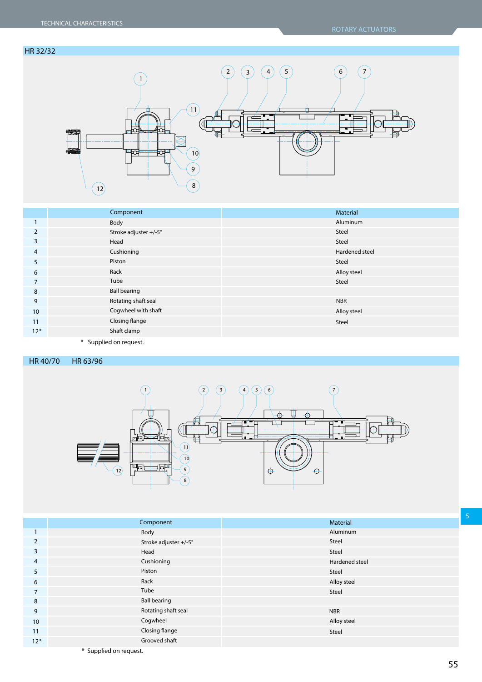## HR 32/32



|                | Component             | Material       |
|----------------|-----------------------|----------------|
|                | Body                  | Aluminum       |
| 2              | Stroke adjuster +/-5° | Steel          |
| 3              | Head                  | Steel          |
| 4              | Cushioning            | Hardened steel |
| 5              | Piston                | Steel          |
| 6              | Rack                  | Alloy steel    |
| $\overline{ }$ | Tube                  | Steel          |
| 8              | <b>Ball bearing</b>   |                |
| 9              | Rotating shaft seal   | <b>NBR</b>     |
| 10             | Cogwheel with shaft   | Alloy steel    |
| 11             | Closing flange        | Steel          |
| $12*$          | Shaft clamp           |                |
|                |                       |                |

**\*** Supplied on request.

HR 40/70 HR 63/96



|                | Component              | Material       |
|----------------|------------------------|----------------|
|                | Body                   | Aluminum       |
| $\overline{2}$ | Stroke adjuster +/-5°  | Steel          |
| 3              | Head                   | Steel          |
| 4              | Cushioning             | Hardened steel |
| 5              | Piston                 | Steel          |
| 6              | Rack                   | Alloy steel    |
| $\overline{7}$ | Tube                   | Steel          |
| 8              | <b>Ball bearing</b>    |                |
| 9              | Rotating shaft seal    | <b>NBR</b>     |
| 10             | Cogwheel               | Alloy steel    |
| 11             | Closing flange         | Steel          |
| $12*$          | Grooved shaft          |                |
|                | * Supplied on request. |                |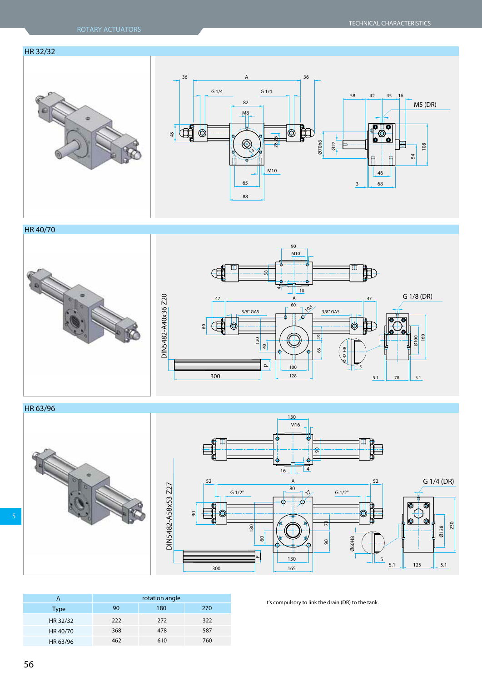## HR 32/32





HR 40/70



HR 63/96





|          | rotation angle |     |     |
|----------|----------------|-----|-----|
| Type     | 90             | 180 | 270 |
| HR 32/32 | 222            | 272 | 322 |
| HR 40/70 | 368            | 478 | 587 |
| HR 63/96 | 462            | 610 | 760 |

It's compulsory to link the drain (DR) to the tank.